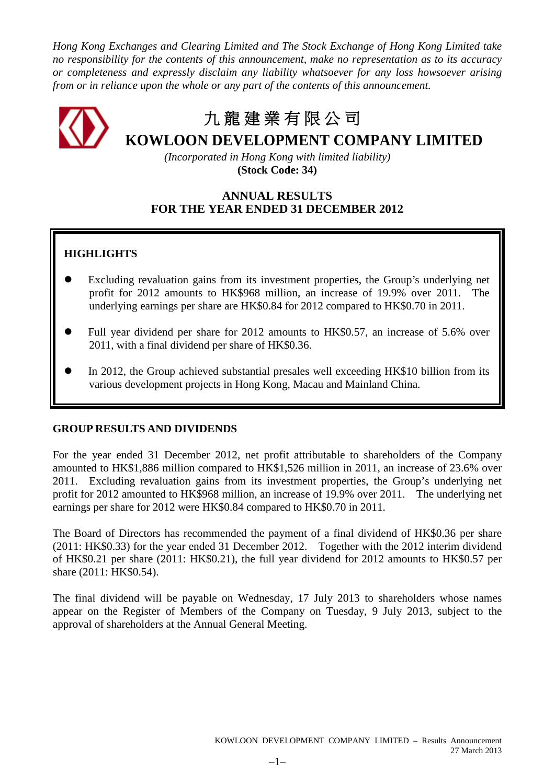*Hong Kong Exchanges and Clearing Limited and The Stock Exchange of Hong Kong Limited take no responsibility for the contents of this announcement, make no representation as to its accuracy or completeness and expressly disclaim any liability whatsoever for any loss howsoever arising from or in reliance upon the whole or any part of the contents of this announcement.*

# 九 龍 建 業 有 限 公 司 **KOWLOON DEVELOPMENT COMPANY LIMITED**

*(Incorporated in Hong Kong with limited liability)* **(Stock Code: 34)**

# **ANNUAL RESULTS FOR THE YEAR ENDED 31 DECEMBER 2012**

# **HIGHLIGHTS**

- Excluding revaluation gains from its investment properties, the Group's underlying net profit for 2012 amounts to HK\$968 million, an increase of 19.9% over 2011. The underlying earnings per share are HK\$0.84 for 2012 compared to HK\$0.70 in 2011.
- Full year dividend per share for 2012 amounts to HK\$0.57, an increase of 5.6% over 2011, with a final dividend per share of HK\$0.36.
- In 2012, the Group achieved substantial presales well exceeding HK\$10 billion from its various development projects in Hong Kong, Macau and Mainland China.

# **GROUP RESULTS AND DIVIDENDS**

For the year ended 31 December 2012, net profit attributable to shareholders of the Company amounted to HK\$1,886 million compared to HK\$1,526 million in 2011, an increase of 23.6% over 2011. Excluding revaluation gains from its investment properties, the Group's underlying net profit for 2012 amounted to HK\$968 million, an increase of 19.9% over 2011. The underlying net earnings per share for 2012 were HK\$0.84 compared to HK\$0.70 in 2011.

The Board of Directors has recommended the payment of a final dividend of HK\$0.36 per share (2011: HK\$0.33) for the year ended 31 December 2012. Together with the 2012 interim dividend of HK\$0.21 per share (2011: HK\$0.21), the full year dividend for 2012 amounts to HK\$0.57 per share (2011: HK\$0.54).

The final dividend will be payable on Wednesday, 17 July 2013 to shareholders whose names appear on the Register of Members of the Company on Tuesday, 9 July 2013, subject to the approval of shareholders at the Annual General Meeting.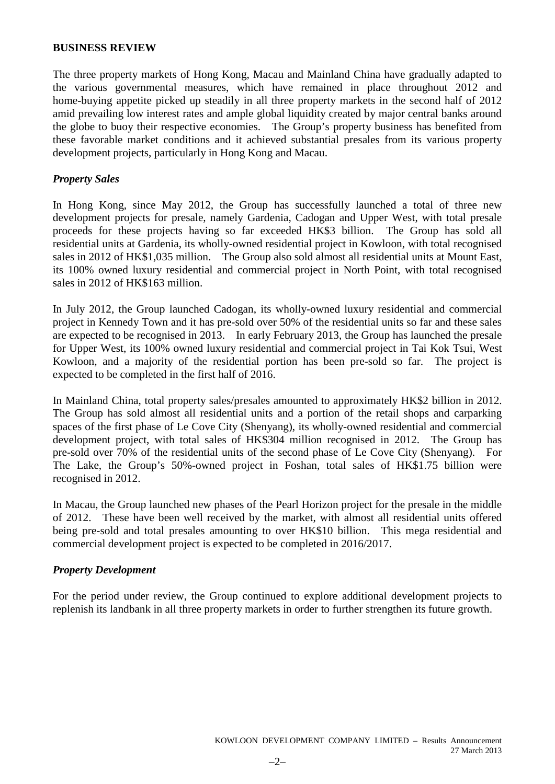### **BUSINESS REVIEW**

The three property markets of Hong Kong, Macau and Mainland China have gradually adapted to the various governmental measures, which have remained in place throughout 2012 and home-buying appetite picked up steadily in all three property markets in the second half of 2012 amid prevailing low interest rates and ample global liquidity created by major central banks around the globe to buoy their respective economies. The Group's property business has benefited from these favorable market conditions and it achieved substantial presales from its various property development projects, particularly in Hong Kong and Macau.

# *Property Sales*

In Hong Kong, since May 2012, the Group has successfully launched a total of three new development projects for presale, namely Gardenia, Cadogan and Upper West, with total presale proceeds for these projects having so far exceeded HK\$3 billion. The Group has sold all residential units at Gardenia, its wholly-owned residential project in Kowloon, with total recognised sales in 2012 of HK\$1,035 million. The Group also sold almost all residential units at Mount East, its 100% owned luxury residential and commercial project in North Point, with total recognised sales in 2012 of HK\$163 million.

In July 2012, the Group launched Cadogan, its wholly-owned luxury residential and commercial project in Kennedy Town and it has pre-sold over 50% of the residential units so far and these sales are expected to be recognised in 2013. In early February 2013, the Group has launched the presale for Upper West, its 100% owned luxury residential and commercial project in Tai Kok Tsui, West Kowloon, and a majority of the residential portion has been pre-sold so far. The project is expected to be completed in the first half of 2016.

In Mainland China, total property sales/presales amounted to approximately HK\$2 billion in 2012. The Group has sold almost all residential units and a portion of the retail shops and carparking spaces of the first phase of Le Cove City (Shenyang), its wholly-owned residential and commercial development project, with total sales of HK\$304 million recognised in 2012. The Group has pre-sold over 70% of the residential units of the second phase of Le Cove City (Shenyang). For The Lake, the Group's 50%-owned project in Foshan, total sales of HK\$1.75 billion were recognised in 2012.

In Macau, the Group launched new phases of the Pearl Horizon project for the presale in the middle of 2012. These have been well received by the market, with almost all residential units offered being pre-sold and total presales amounting to over HK\$10 billion. This mega residential and commercial development project is expected to be completed in 2016/2017.

# *Property Development*

For the period under review, the Group continued to explore additional development projects to replenish its landbank in all three property markets in order to further strengthen its future growth.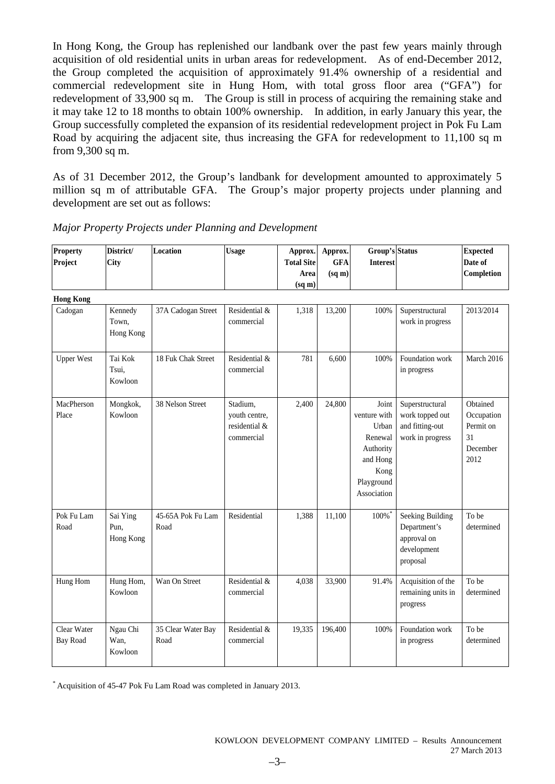In Hong Kong, the Group has replenished our landbank over the past few years mainly through acquisition of old residential units in urban areas for redevelopment. As of end-December 2012, the Group completed the acquisition of approximately 91.4% ownership of a residential and commercial redevelopment site in Hung Hom, with total gross floor area ("GFA") for redevelopment of 33,900 sq m. The Group is still in process of acquiring the remaining stake and it may take 12 to 18 months to obtain 100% ownership. In addition, in early January this year, the Group successfully completed the expansion of its residential redevelopment project in Pok Fu Lam Road by acquiring the adjacent site, thus increasing the GFA for redevelopment to 11,100 sq m from 9,300 sq m.

As of 31 December 2012, the Group's landbank for development amounted to approximately 5 million sq m of attributable GFA. The Group's major property projects under planning and development are set out as follows:

| <b>Property</b><br>Project     | District/<br>City             | Location                   | <b>Usage</b>                                             | Approx.<br><b>Total Site</b><br>Area<br>$(sq \, \text{m})$ | Approx.<br><b>GFA</b><br>(sq m) | Group's Status<br><b>Interest</b>                                                                       |                                                                            | <b>Expected</b><br>Date of<br>Completion                      |
|--------------------------------|-------------------------------|----------------------------|----------------------------------------------------------|------------------------------------------------------------|---------------------------------|---------------------------------------------------------------------------------------------------------|----------------------------------------------------------------------------|---------------------------------------------------------------|
| <b>Hong Kong</b>               |                               |                            |                                                          |                                                            |                                 |                                                                                                         |                                                                            |                                                               |
| Cadogan                        | Kennedy<br>Town,<br>Hong Kong | 37A Cadogan Street         | Residential &<br>commercial                              | 1,318                                                      | 13,200                          | 100%                                                                                                    | Superstructural<br>work in progress                                        | 2013/2014                                                     |
| <b>Upper West</b>              | Tai Kok<br>Tsui,<br>Kowloon   | 18 Fuk Chak Street         | Residential &<br>commercial                              | 781                                                        | 6,600                           | 100%                                                                                                    | Foundation work<br>in progress                                             | March 2016                                                    |
| MacPherson<br>Place            | Mongkok,<br>Kowloon           | 38 Nelson Street           | Stadium,<br>youth centre,<br>residential &<br>commercial | 2,400                                                      | 24,800                          | Joint<br>venture with<br>Urban<br>Renewal<br>Authority<br>and Hong<br>Kong<br>Playground<br>Association | Superstructural<br>work topped out<br>and fitting-out<br>work in progress  | Obtained<br>Occupation<br>Permit on<br>31<br>December<br>2012 |
| Pok Fu Lam<br>Road             | Sai Ying<br>Pun,<br>Hong Kong | 45-65A Pok Fu Lam<br>Road  | Residential                                              | 1,388                                                      | 11,100                          | 100%*                                                                                                   | Seeking Building<br>Department's<br>approval on<br>development<br>proposal | To be<br>determined                                           |
| Hung Hom                       | Hung Hom,<br>Kowloon          | Wan On Street              | Residential &<br>commercial                              | 4,038                                                      | 33,900                          | 91.4%                                                                                                   | Acquisition of the<br>remaining units in<br>progress                       | To be<br>determined                                           |
| Clear Water<br><b>Bay Road</b> | Ngau Chi<br>Wan,<br>Kowloon   | 35 Clear Water Bay<br>Road | Residential &<br>commercial                              | 19,335                                                     | 196,400                         | 100%                                                                                                    | Foundation work<br>in progress                                             | To be<br>determined                                           |

*Major Property Projects under Planning and Development* 

\* Acquisition of 45-47 Pok Fu Lam Road was completed in January 2013.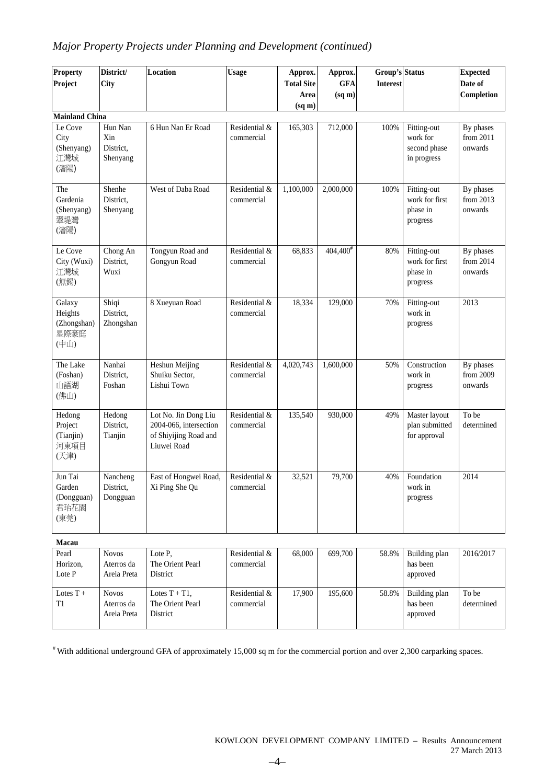# *Major Property Projects under Planning and Development (continued)*

| <b>Property</b><br>Project                       | District/<br><b>City</b>                  | Location                                                                               | <b>Usage</b>                | Approx.<br><b>Total Site</b><br>Area<br>(sq m) | Approx.<br><b>GFA</b><br>(sq m) | <b>Group's Status</b><br><b>Interest</b> |                                                        | <b>Expected</b><br>Date of<br>Completion |
|--------------------------------------------------|-------------------------------------------|----------------------------------------------------------------------------------------|-----------------------------|------------------------------------------------|---------------------------------|------------------------------------------|--------------------------------------------------------|------------------------------------------|
| <b>Mainland China</b>                            |                                           |                                                                                        |                             |                                                |                                 |                                          |                                                        |                                          |
| Le Cove<br>City<br>(Shenyang)<br>江灣城<br>(瀋陽)     | Hun Nan<br>Xin<br>District,<br>Shenyang   | 6 Hun Nan Er Road                                                                      | Residential &<br>commercial | 165,303                                        | 712,000                         | 100%                                     | Fitting-out<br>work for<br>second phase<br>in progress | By phases<br>from 2011<br>onwards        |
| The<br>Gardenia<br>(Shenyang)<br>翠堤灣<br>(瀋陽)     | Shenhe<br>District,<br>Shenyang           | West of Daba Road                                                                      | Residential &<br>commercial | 1,100,000                                      | 2,000,000                       | 100%                                     | Fitting-out<br>work for first<br>phase in<br>progress  | By phases<br>from 2013<br>onwards        |
| Le Cove<br>City (Wuxi)<br>江灣城<br>(無錫)            | Chong An<br>District,<br>Wuxi             | Tongyun Road and<br>Gongyun Road                                                       | Residential &<br>commercial | 68,833                                         | $404,400^{\frac{4}{3}}$         | 80%                                      | Fitting-out<br>work for first<br>phase in<br>progress  | By phases<br>from 2014<br>onwards        |
| Galaxy<br>Heights<br>(Zhongshan)<br>星際豪庭<br>(中山) | Shiqi<br>District,<br>Zhongshan           | 8 Xueyuan Road                                                                         | Residential &<br>commercial | 18,334                                         | 129,000                         | 70%                                      | Fitting-out<br>work in<br>progress                     | 2013                                     |
| The Lake<br>(Foshan)<br>山語湖<br>(佛山)              | Nanhai<br>District,<br>Foshan             | Heshun Meijing<br>Shuiku Sector,<br>Lishui Town                                        | Residential &<br>commercial | 4,020,743                                      | 1,600,000                       | 50%                                      | Construction<br>work in<br>progress                    | By phases<br>from 2009<br>onwards        |
| Hedong<br>Project<br>(Tianjin)<br>河東項目<br>(天津)   | Hedong<br>District,<br>Tianjin            | Lot No. Jin Dong Liu<br>2004-066, intersection<br>of Shiyijing Road and<br>Liuwei Road | Residential &<br>commercial | 135,540                                        | 930,000                         | 49%                                      | Master layout<br>plan submitted<br>for approval        | To be<br>determined                      |
| Jun Tai<br>Garden<br>(Dongguan)<br>君珆花園<br>(東莞)  | Nancheng<br>District,<br>Dongguan         | East of Hongwei Road,<br>Xi Ping She Qu                                                | Residential &<br>commercial | 32,521                                         | 79,700                          | 40%                                      | Foundation<br>work in<br>progress                      | 2014                                     |
| Macau                                            |                                           |                                                                                        |                             |                                                |                                 |                                          |                                                        |                                          |
| Pearl<br>Horizon,<br>Lote P                      | <b>Novos</b><br>Aterros da<br>Areia Preta | Lote P,<br>The Orient Pearl<br>District                                                | Residential &<br>commercial | 68,000                                         | 699,700                         | 58.8%                                    | Building plan<br>has been<br>approved                  | 2016/2017                                |
| Lotes $T +$<br>T1                                | <b>Novos</b><br>Aterros da<br>Areia Preta | Lotes $T + T1$ ,<br>The Orient Pearl<br>District                                       | Residential &<br>commercial | 17,900                                         | 195,600                         | 58.8%                                    | Building plan<br>has been<br>approved                  | To be<br>determined                      |

# With additional underground GFA of approximately 15,000 sq m for the commercial portion and over 2,300 carparking spaces.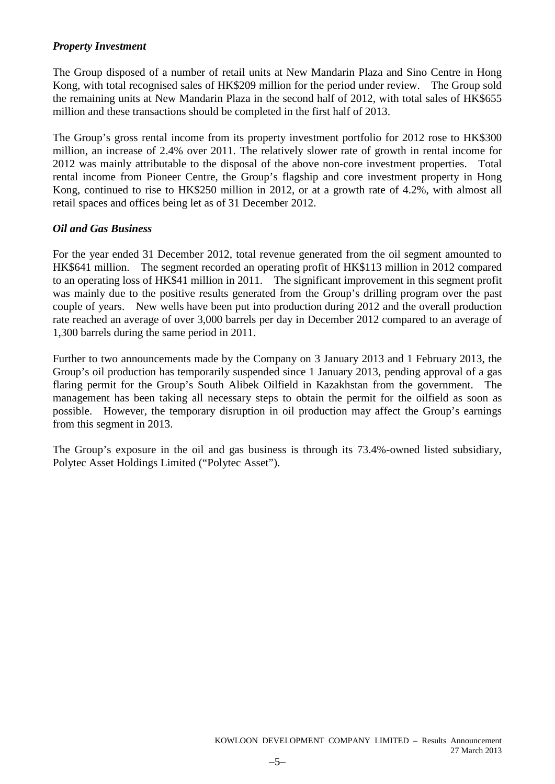# *Property Investment*

The Group disposed of a number of retail units at New Mandarin Plaza and Sino Centre in Hong Kong, with total recognised sales of HK\$209 million for the period under review. The Group sold the remaining units at New Mandarin Plaza in the second half of 2012, with total sales of HK\$655 million and these transactions should be completed in the first half of 2013.

The Group's gross rental income from its property investment portfolio for 2012 rose to HK\$300 million, an increase of 2.4% over 2011. The relatively slower rate of growth in rental income for 2012 was mainly attributable to the disposal of the above non-core investment properties. Total rental income from Pioneer Centre, the Group's flagship and core investment property in Hong Kong, continued to rise to HK\$250 million in 2012, or at a growth rate of 4.2%, with almost all retail spaces and offices being let as of 31 December 2012.

# *Oil and Gas Business*

For the year ended 31 December 2012, total revenue generated from the oil segment amounted to HK\$641 million. The segment recorded an operating profit of HK\$113 million in 2012 compared to an operating loss of HK\$41 million in 2011. The significant improvement in this segment profit was mainly due to the positive results generated from the Group's drilling program over the past couple of years. New wells have been put into production during 2012 and the overall production rate reached an average of over 3,000 barrels per day in December 2012 compared to an average of 1,300 barrels during the same period in 2011.

Further to two announcements made by the Company on 3 January 2013 and 1 February 2013, the Group's oil production has temporarily suspended since 1 January 2013, pending approval of a gas flaring permit for the Group's South Alibek Oilfield in Kazakhstan from the government. The management has been taking all necessary steps to obtain the permit for the oilfield as soon as possible. However, the temporary disruption in oil production may affect the Group's earnings from this segment in 2013.

The Group's exposure in the oil and gas business is through its 73.4%-owned listed subsidiary, Polytec Asset Holdings Limited ("Polytec Asset").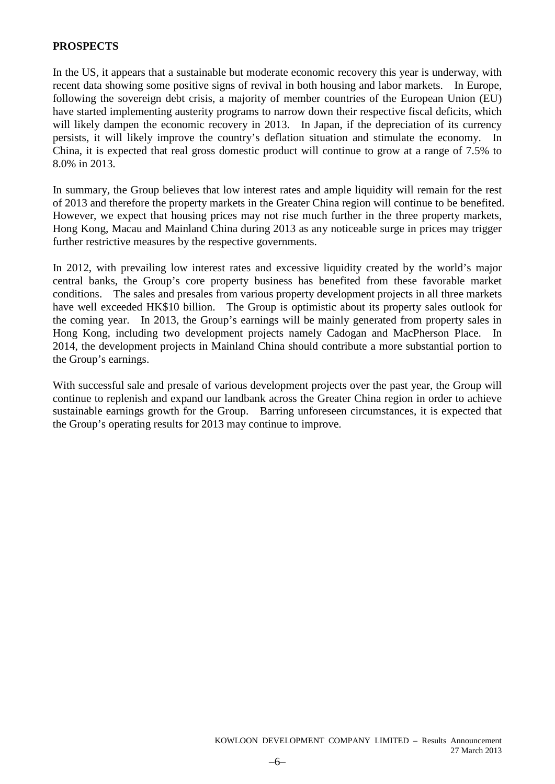# **PROSPECTS**

In the US, it appears that a sustainable but moderate economic recovery this year is underway, with recent data showing some positive signs of revival in both housing and labor markets. In Europe, following the sovereign debt crisis, a majority of member countries of the European Union (EU) have started implementing austerity programs to narrow down their respective fiscal deficits, which will likely dampen the economic recovery in 2013. In Japan, if the depreciation of its currency persists, it will likely improve the country's deflation situation and stimulate the economy. In China, it is expected that real gross domestic product will continue to grow at a range of 7.5% to 8.0% in 2013.

In summary, the Group believes that low interest rates and ample liquidity will remain for the rest of 2013 and therefore the property markets in the Greater China region will continue to be benefited. However, we expect that housing prices may not rise much further in the three property markets, Hong Kong, Macau and Mainland China during 2013 as any noticeable surge in prices may trigger further restrictive measures by the respective governments.

In 2012, with prevailing low interest rates and excessive liquidity created by the world's major central banks, the Group's core property business has benefited from these favorable market conditions. The sales and presales from various property development projects in all three markets have well exceeded HK\$10 billion. The Group is optimistic about its property sales outlook for the coming year. In 2013, the Group's earnings will be mainly generated from property sales in Hong Kong, including two development projects namely Cadogan and MacPherson Place. In 2014, the development projects in Mainland China should contribute a more substantial portion to the Group's earnings.

With successful sale and presale of various development projects over the past year, the Group will continue to replenish and expand our landbank across the Greater China region in order to achieve sustainable earnings growth for the Group. Barring unforeseen circumstances, it is expected that the Group's operating results for 2013 may continue to improve.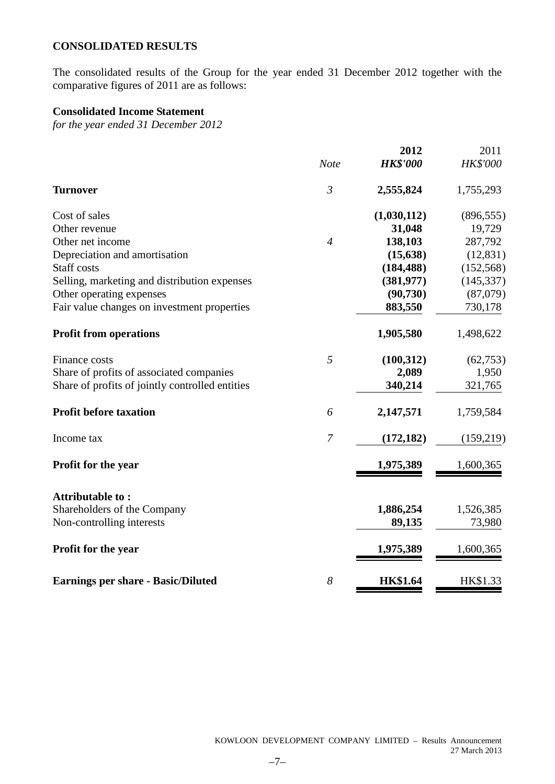# **CONSOLIDATED RESULTS**

The consolidated results of the Group for the year ended 31 December 2012 together with the comparative figures of 2011 are as follows:

# **Consolidated Income Statement**

*for the year ended 31 December 2012*

|                                                 |                | 2012            | 2011            |
|-------------------------------------------------|----------------|-----------------|-----------------|
|                                                 | <b>Note</b>    | <b>HK\$'000</b> | <b>HK\$'000</b> |
| <b>Turnover</b>                                 | $\mathfrak{Z}$ | 2,555,824       | 1,755,293       |
| Cost of sales                                   |                | (1,030,112)     | (896, 555)      |
| Other revenue                                   |                | 31,048          | 19,729          |
| Other net income                                | $\overline{4}$ | 138,103         | 287,792         |
| Depreciation and amortisation                   |                | (15, 638)       | (12, 831)       |
| Staff costs                                     |                | (184, 488)      | (152, 568)      |
| Selling, marketing and distribution expenses    |                | (381, 977)      | (145, 337)      |
| Other operating expenses                        |                | (90, 730)       | (87,079)        |
| Fair value changes on investment properties     |                | 883,550         | 730,178         |
| <b>Profit from operations</b>                   |                | 1,905,580       | 1,498,622       |
| Finance costs                                   | 5              | (100, 312)      | (62, 753)       |
| Share of profits of associated companies        |                | 2,089           | 1,950           |
| Share of profits of jointly controlled entities |                | 340,214         | 321,765         |
| <b>Profit before taxation</b>                   | 6              | 2,147,571       | 1,759,584       |
| Income tax                                      | $\mathcal{I}$  | (172, 182)      | (159,219)       |
| Profit for the year                             |                | 1,975,389       | 1,600,365       |
| Attributable to:                                |                |                 |                 |
| Shareholders of the Company                     |                | 1,886,254       | 1,526,385       |
| Non-controlling interests                       |                | 89,135          | 73,980          |
| Profit for the year                             |                | 1,975,389       | 1,600,365       |
| <b>Earnings per share - Basic/Diluted</b>       | 8              | <b>HK\$1.64</b> | HK\$1.33        |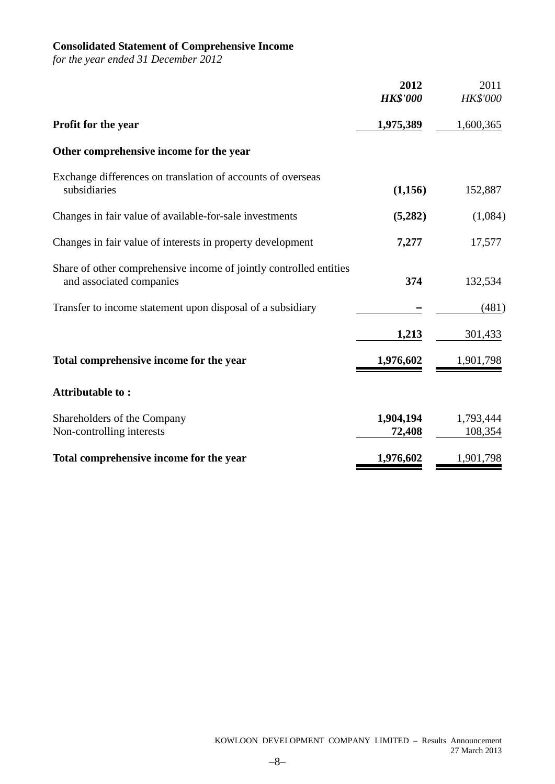# **Consolidated Statement of Comprehensive Income**

*for the year ended 31 December 2012*

|                                                                                                | 2012<br><b>HK\$'000</b> | 2011<br><b>HK\$'000</b> |
|------------------------------------------------------------------------------------------------|-------------------------|-------------------------|
| <b>Profit for the year</b>                                                                     | 1,975,389               | 1,600,365               |
| Other comprehensive income for the year                                                        |                         |                         |
| Exchange differences on translation of accounts of overseas<br>subsidiaries                    | (1,156)                 | 152,887                 |
| Changes in fair value of available-for-sale investments                                        | (5,282)                 | (1,084)                 |
| Changes in fair value of interests in property development                                     | 7,277                   | 17,577                  |
| Share of other comprehensive income of jointly controlled entities<br>and associated companies | 374                     | 132,534                 |
| Transfer to income statement upon disposal of a subsidiary                                     |                         | (481)                   |
|                                                                                                | 1,213                   | 301,433                 |
| Total comprehensive income for the year                                                        | 1,976,602               | 1,901,798               |
| Attributable to:                                                                               |                         |                         |
| Shareholders of the Company<br>Non-controlling interests                                       | 1,904,194<br>72,408     | 1,793,444<br>108,354    |
| Total comprehensive income for the year                                                        | 1,976,602               | 1,901,798               |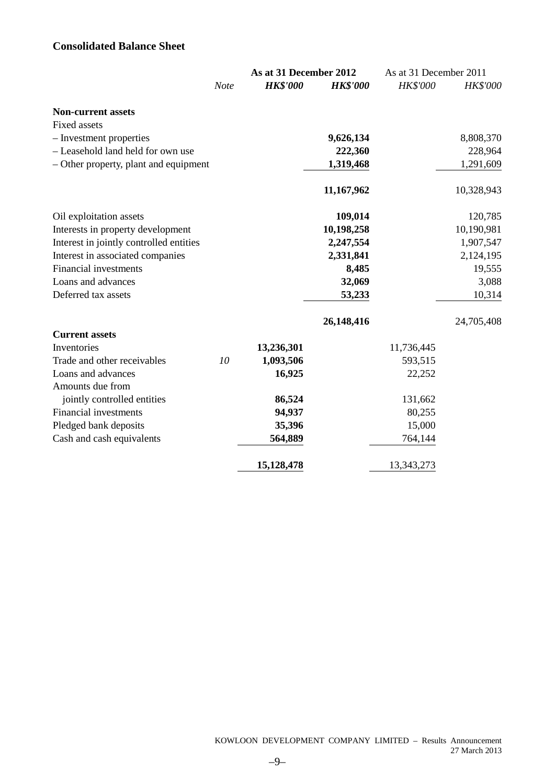# **Consolidated Balance Sheet**

|                                         |      | As at 31 December 2012 |                 | As at 31 December 2011 |                 |
|-----------------------------------------|------|------------------------|-----------------|------------------------|-----------------|
|                                         | Note | <b>HK\$'000</b>        | <b>HK\$'000</b> | <b>HK\$'000</b>        | <b>HK\$'000</b> |
| <b>Non-current assets</b>               |      |                        |                 |                        |                 |
| <b>Fixed assets</b>                     |      |                        |                 |                        |                 |
| - Investment properties                 |      |                        | 9,626,134       |                        | 8,808,370       |
| - Leasehold land held for own use       |      |                        | 222,360         |                        | 228,964         |
| - Other property, plant and equipment   |      |                        | 1,319,468       |                        | 1,291,609       |
|                                         |      |                        | 11,167,962      |                        | 10,328,943      |
| Oil exploitation assets                 |      |                        | 109,014         |                        | 120,785         |
| Interests in property development       |      |                        | 10,198,258      |                        | 10,190,981      |
| Interest in jointly controlled entities |      |                        | 2,247,554       |                        | 1,907,547       |
| Interest in associated companies        |      |                        | 2,331,841       |                        | 2,124,195       |
| <b>Financial investments</b>            |      |                        | 8,485           |                        | 19,555          |
| Loans and advances                      |      |                        | 32,069          |                        | 3,088           |
| Deferred tax assets                     |      |                        | 53,233          |                        | 10,314          |
|                                         |      |                        | 26,148,416      |                        | 24,705,408      |
| <b>Current assets</b>                   |      |                        |                 |                        |                 |
| Inventories                             |      | 13,236,301             |                 | 11,736,445             |                 |
| Trade and other receivables             | 10   | 1,093,506              |                 | 593,515                |                 |
| Loans and advances                      |      | 16,925                 |                 | 22,252                 |                 |
| Amounts due from                        |      |                        |                 |                        |                 |
| jointly controlled entities             |      | 86,524                 |                 | 131,662                |                 |
| Financial investments                   |      | 94,937                 |                 | 80,255                 |                 |
| Pledged bank deposits                   |      | 35,396                 |                 | 15,000                 |                 |
| Cash and cash equivalents               |      | 564,889                |                 | 764,144                |                 |
|                                         |      | 15,128,478             |                 | 13,343,273             |                 |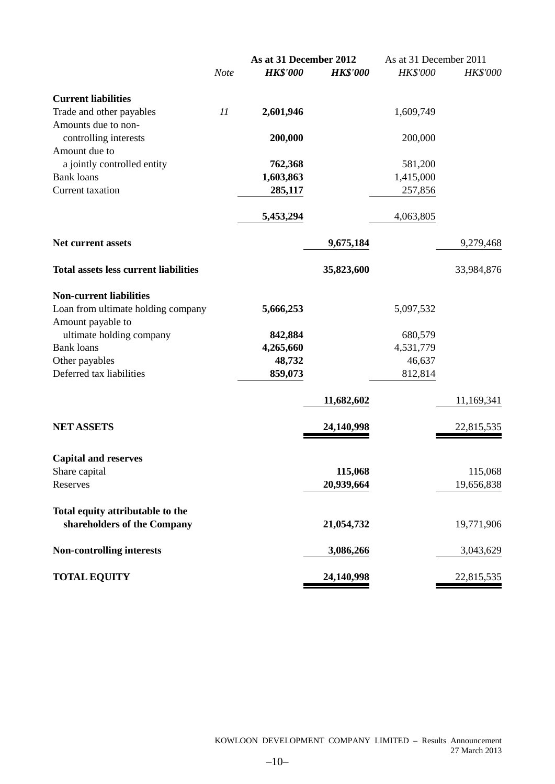|                                              |      | As at 31 December 2012 |                 | As at 31 December 2011 |                 |
|----------------------------------------------|------|------------------------|-----------------|------------------------|-----------------|
|                                              | Note | <b>HK\$'000</b>        | <b>HK\$'000</b> | <b>HK\$'000</b>        | <b>HK\$'000</b> |
| <b>Current liabilities</b>                   |      |                        |                 |                        |                 |
| Trade and other payables                     | 11   | 2,601,946              |                 | 1,609,749              |                 |
| Amounts due to non-                          |      |                        |                 |                        |                 |
| controlling interests                        |      | 200,000                |                 | 200,000                |                 |
| Amount due to                                |      |                        |                 |                        |                 |
| a jointly controlled entity                  |      | 762,368                |                 | 581,200                |                 |
| <b>Bank loans</b>                            |      | 1,603,863              |                 | 1,415,000              |                 |
| <b>Current</b> taxation                      |      | 285,117                |                 | 257,856                |                 |
|                                              |      | 5,453,294              |                 | 4,063,805              |                 |
|                                              |      |                        |                 |                        |                 |
| <b>Net current assets</b>                    |      |                        | 9,675,184       |                        | 9,279,468       |
| <b>Total assets less current liabilities</b> |      |                        | 35,823,600      |                        | 33,984,876      |
| <b>Non-current liabilities</b>               |      |                        |                 |                        |                 |
| Loan from ultimate holding company           |      | 5,666,253              |                 | 5,097,532              |                 |
| Amount payable to                            |      |                        |                 |                        |                 |
| ultimate holding company                     |      | 842,884                |                 | 680,579                |                 |
| <b>Bank loans</b>                            |      | 4,265,660              |                 | 4,531,779              |                 |
| Other payables                               |      | 48,732                 |                 | 46,637                 |                 |
| Deferred tax liabilities                     |      | 859,073                |                 | 812,814                |                 |
|                                              |      |                        | 11,682,602      |                        | 11,169,341      |
| <b>NET ASSETS</b>                            |      |                        | 24,140,998      |                        | 22,815,535      |
|                                              |      |                        |                 |                        |                 |
| <b>Capital and reserves</b>                  |      |                        |                 |                        |                 |
| Share capital                                |      |                        | 115,068         |                        | 115,068         |
| Reserves                                     |      |                        | 20,939,664      |                        | 19,656,838      |
| Total equity attributable to the             |      |                        |                 |                        |                 |
| shareholders of the Company                  |      |                        | 21,054,732      |                        | 19,771,906      |
| <b>Non-controlling interests</b>             |      |                        | 3,086,266       |                        | 3,043,629       |
| <b>TOTAL EQUITY</b>                          |      |                        | 24,140,998      |                        | 22,815,535      |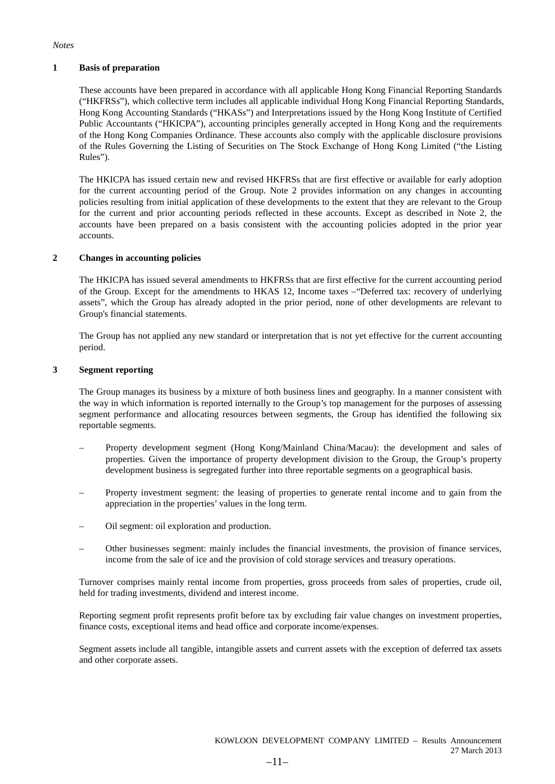#### *Notes*

#### **1 Basis of preparation**

These accounts have been prepared in accordance with all applicable Hong Kong Financial Reporting Standards ("HKFRSs"), which collective term includes all applicable individual Hong Kong Financial Reporting Standards, Hong Kong Accounting Standards ("HKASs") and Interpretations issued by the Hong Kong Institute of Certified Public Accountants ("HKICPA"), accounting principles generally accepted in Hong Kong and the requirements of the Hong Kong Companies Ordinance. These accounts also comply with the applicable disclosure provisions of the Rules Governing the Listing of Securities on The Stock Exchange of Hong Kong Limited ("the Listing Rules").

The HKICPA has issued certain new and revised HKFRSs that are first effective or available for early adoption for the current accounting period of the Group. Note 2 provides information on any changes in accounting policies resulting from initial application of these developments to the extent that they are relevant to the Group for the current and prior accounting periods reflected in these accounts. Except as described in Note 2, the accounts have been prepared on a basis consistent with the accounting policies adopted in the prior year accounts.

#### **2 Changes in accounting policies**

The HKICPA has issued several amendments to HKFRSs that are first effective for the current accounting period of the Group. Except for the amendments to HKAS 12, Income taxes –"Deferred tax: recovery of underlying assets", which the Group has already adopted in the prior period, none of other developments are relevant to Group's financial statements.

The Group has not applied any new standard or interpretation that is not yet effective for the current accounting period.

#### **3 Segment reporting**

The Group manages its business by a mixture of both business lines and geography. In a manner consistent with the way in which information is reported internally to the Group's top management for the purposes of assessing segment performance and allocating resources between segments, the Group has identified the following six reportable segments.

- Property development segment (Hong Kong/Mainland China/Macau): the development and sales of properties. Given the importance of property development division to the Group, the Group's property development business is segregated further into three reportable segments on a geographical basis.
- Property investment segment: the leasing of properties to generate rental income and to gain from the appreciation in the properties' values in the long term.
- Oil segment: oil exploration and production.
- Other businesses segment: mainly includes the financial investments, the provision of finance services, income from the sale of ice and the provision of cold storage services and treasury operations.

Turnover comprises mainly rental income from properties, gross proceeds from sales of properties, crude oil, held for trading investments, dividend and interest income.

Reporting segment profit represents profit before tax by excluding fair value changes on investment properties, finance costs, exceptional items and head office and corporate income/expenses.

Segment assets include all tangible, intangible assets and current assets with the exception of deferred tax assets and other corporate assets.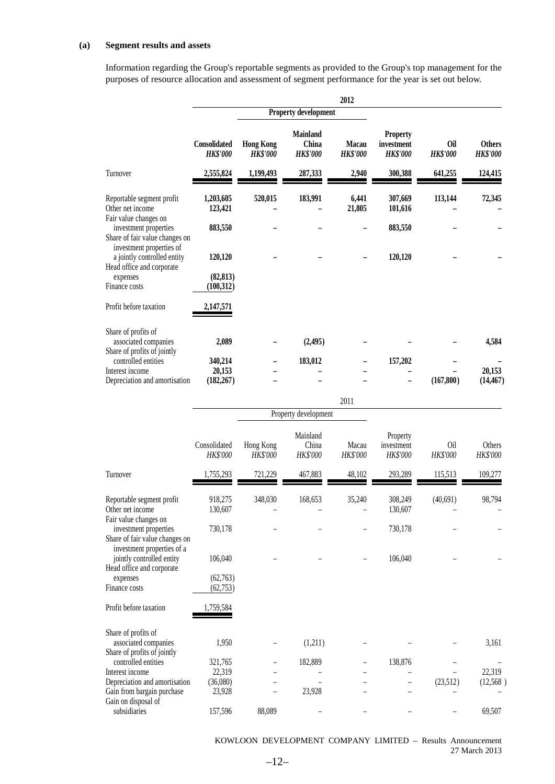#### **(a) Segment results and assets**

Information regarding the Group's reportable segments as provided to the Group's top management for the purposes of resource allocation and assessment of segment performance for the year is set out below.

|                                                                                      |                                 |                                     |                                             | 2012                     |                                                  |                        |                                  |
|--------------------------------------------------------------------------------------|---------------------------------|-------------------------------------|---------------------------------------------|--------------------------|--------------------------------------------------|------------------------|----------------------------------|
|                                                                                      |                                 |                                     | Property development                        |                          |                                                  |                        |                                  |
|                                                                                      | Consolidated<br><b>HK\$'000</b> | <b>Hong Kong</b><br><b>HK\$'000</b> | <b>Mainland</b><br>China<br><b>HK\$'000</b> | Macau<br><b>HK\$'000</b> | <b>Property</b><br>investment<br><b>HK\$'000</b> | Oil<br><b>HK\$'000</b> | <b>Others</b><br><b>HK\$'000</b> |
| Turnover                                                                             | 2,555,824                       | 1,199,493                           | 287,333                                     | 2,940                    | 300,388                                          | 641,255                | 124,415                          |
| Reportable segment profit<br>Other net income<br>Fair value changes on               | 1,203,605<br>123,421            | 520,015                             | 183,991                                     | 6,441<br>21,805          | 307,669<br>101,616                               | 113,144                | 72,345                           |
| investment properties<br>Share of fair value changes on                              | 883,550                         |                                     |                                             |                          | 883,550                                          |                        |                                  |
| investment properties of<br>a jointly controlled entity<br>Head office and corporate | 120,120                         |                                     |                                             |                          | 120,120                                          |                        |                                  |
| expenses<br>Finance costs                                                            | (82, 813)<br>(100, 312)         |                                     |                                             |                          |                                                  |                        |                                  |
| Profit before taxation                                                               | 2,147,571                       |                                     |                                             |                          |                                                  |                        |                                  |
| Share of profits of<br>associated companies<br>Share of profits of jointly           | 2,089                           |                                     | (2,495)                                     |                          |                                                  |                        | 4,584                            |
| controlled entities<br>Interest income                                               | 340,214                         |                                     | 183,012                                     |                          | 157,202                                          |                        | 20,153                           |
| Depreciation and amortisation                                                        | 20,153<br>(182, 267)            |                                     |                                             |                          |                                                  | (167, 800)             | (14, 467)                        |
|                                                                                      |                                 |                                     |                                             | 2011                     |                                                  |                        |                                  |
|                                                                                      |                                 |                                     | Property development                        |                          |                                                  |                        |                                  |
|                                                                                      | Consolidated<br>HK\$'000        | Hong Kong<br>HK\$'000               | Mainland<br>China<br>HK\$'000               | Macau<br>HK\$'000        | Property<br>investment<br><i>HK\$'000</i>        | Oil<br>HK\$'000        | Others<br>HK\$'000               |
| Turnover                                                                             | 1,755,293                       | 721,229                             | 467,883                                     | 48,102                   | 293,289                                          | 115,513                | 109,277                          |
| Reportable segment profit<br>Other net income                                        | 918,275<br>130,607              | 348,030                             | 168,653                                     | 35,240                   | 308,249<br>130,607                               | (40,691)               | 98,794                           |
| Fair value changes on<br>investment properties<br>Share of fair value changes on     | 730,178                         |                                     |                                             |                          | 730,178                                          |                        |                                  |
| investment properties of a<br>jointly controlled entity<br>Head office and corporate | 106,040                         |                                     |                                             |                          | 106,040                                          |                        |                                  |
| expenses<br>Finance costs                                                            | (62, 763)<br>(62, 753)          |                                     |                                             |                          |                                                  |                        |                                  |
| Profit before taxation                                                               | 1,759,584                       |                                     |                                             |                          |                                                  |                        |                                  |
| Share of profits of<br>associated companies<br>Share of profits of jointly           | 1,950                           |                                     | (1,211)                                     |                          |                                                  |                        | 3,161                            |
| controlled entities<br>Interest income                                               | 321,765<br>22,319               |                                     | 182,889                                     |                          | 138,876                                          |                        | 22,319                           |
| Depreciation and amortisation                                                        | (36,080)                        |                                     |                                             |                          |                                                  | (23,512)               | (12,568)                         |
| Gain from bargain purchase<br>Gain on disposal of                                    | 23,928                          |                                     | 23,928                                      |                          |                                                  |                        |                                  |
| subsidiaries                                                                         | 157,596                         | 88,089                              |                                             |                          |                                                  |                        | 69,507                           |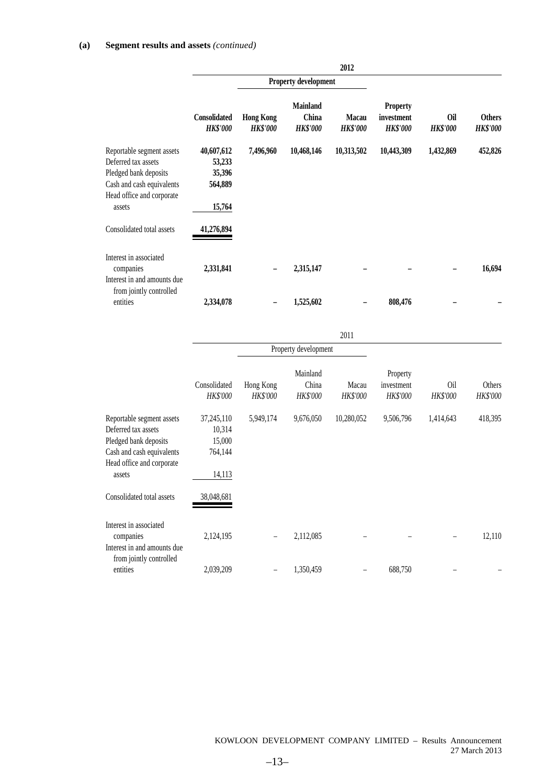|                                                                                                                                               |                                                     |                                     |                                             | 2012                            |                                                  |                               |                                  |
|-----------------------------------------------------------------------------------------------------------------------------------------------|-----------------------------------------------------|-------------------------------------|---------------------------------------------|---------------------------------|--------------------------------------------------|-------------------------------|----------------------------------|
|                                                                                                                                               | <b>Property development</b>                         |                                     |                                             |                                 |                                                  |                               |                                  |
|                                                                                                                                               | <b>Consolidated</b><br><b>HK\$'000</b>              | <b>Hong Kong</b><br><b>HK\$'000</b> | <b>Mainland</b><br>China<br><b>HK\$'000</b> | <b>Macau</b><br><b>HK\$'000</b> | <b>Property</b><br>investment<br><b>HK\$'000</b> | <b>Oil</b><br><b>HK\$'000</b> | <b>Others</b><br><b>HK\$'000</b> |
| Reportable segment assets<br>Deferred tax assets<br>Pledged bank deposits<br>Cash and cash equivalents<br>Head office and corporate<br>assets | 40,607,612<br>53,233<br>35,396<br>564,889<br>15,764 | 7,496,960                           | 10,468,146                                  | 10,313,502                      | 10,443,309                                       | 1,432,869                     | 452,826                          |
| Consolidated total assets                                                                                                                     | 41,276,894                                          |                                     |                                             |                                 |                                                  |                               |                                  |
| Interest in associated<br>companies<br>Interest in and amounts due<br>from jointly controlled                                                 | 2,331,841                                           |                                     | 2,315,147                                   |                                 |                                                  |                               | 16,694                           |
| entities                                                                                                                                      | 2,334,078                                           |                                     | 1,525,602                                   |                                 | 808,476                                          |                               |                                  |

|                                                                                                                                               |                                                     |                              |                               | 2011                     |                                           |                 |                                  |
|-----------------------------------------------------------------------------------------------------------------------------------------------|-----------------------------------------------------|------------------------------|-------------------------------|--------------------------|-------------------------------------------|-----------------|----------------------------------|
|                                                                                                                                               |                                                     |                              | Property development          |                          |                                           |                 |                                  |
|                                                                                                                                               | Consolidated<br><b>HK\$'000</b>                     | Hong Kong<br><b>HK\$'000</b> | Mainland<br>China<br>HK\$'000 | Macau<br><b>HK\$'000</b> | Property<br>investment<br><b>HK\$'000</b> | 0il<br>HK\$'000 | <b>Others</b><br><b>HK\$'000</b> |
| Reportable segment assets<br>Deferred tax assets<br>Pledged bank deposits<br>Cash and cash equivalents<br>Head office and corporate<br>assets | 37,245,110<br>10,314<br>15,000<br>764,144<br>14,113 | 5,949,174                    | 9,676,050                     | 10,280,052               | 9,506,796                                 | 1,414,643       | 418,395                          |
| Consolidated total assets                                                                                                                     | 38,048,681                                          |                              |                               |                          |                                           |                 |                                  |
| Interest in associated<br>companies<br>Interest in and amounts due<br>from jointly controlled                                                 | 2,124,195                                           |                              | 2,112,085                     |                          |                                           |                 | 12,110                           |
| entities                                                                                                                                      | 2,039,209                                           |                              | 1,350,459                     |                          | 688,750                                   |                 |                                  |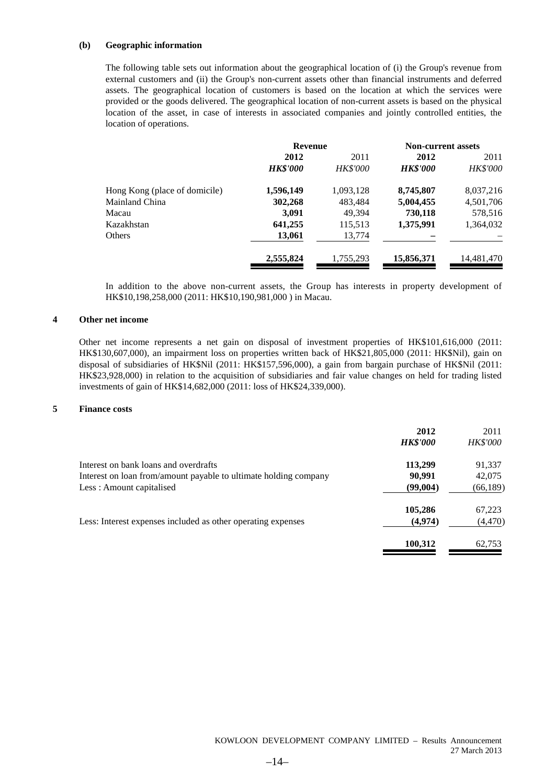#### **(b) Geographic information**

The following table sets out information about the geographical location of (i) the Group's revenue from external customers and (ii) the Group's non-current assets other than financial instruments and deferred assets. The geographical location of customers is based on the location at which the services were provided or the goods delivered. The geographical location of non-current assets is based on the physical location of the asset, in case of interests in associated companies and jointly controlled entities, the location of operations.

|                               | <b>Revenue</b>  |                 | <b>Non-current assets</b> |                 |  |
|-------------------------------|-----------------|-----------------|---------------------------|-----------------|--|
|                               | 2012            | 2011            | 2012                      | 2011            |  |
|                               | <b>HK\$'000</b> | <b>HK\$'000</b> | <b>HK\$'000</b>           | <b>HK\$'000</b> |  |
| Hong Kong (place of domicile) | 1,596,149       | 1,093,128       | 8,745,807                 | 8,037,216       |  |
| Mainland China                | 302,268         | 483,484         | 5,004,455                 | 4,501,706       |  |
| Macau                         | 3,091           | 49.394          | 730,118                   | 578,516         |  |
| Kazakhstan                    | 641,255         | 115,513         | 1,375,991                 | 1,364,032       |  |
| Others                        | 13,061          | 13,774          |                           |                 |  |
|                               | 2,555,824       | 1,755,293       | 15,856,371                | 14,481,470      |  |

In addition to the above non-current assets, the Group has interests in property development of HK\$10,198,258,000 (2011: HK\$10,190,981,000 ) in Macau.

#### **4 Other net income**

Other net income represents a net gain on disposal of investment properties of HK\$101,616,000 (2011: HK\$130,607,000), an impairment loss on properties written back of HK\$21,805,000 (2011: HK\$Nil), gain on disposal of subsidiaries of HK\$Nil (2011: HK\$157,596,000), a gain from bargain purchase of HK\$Nil (2011: HK\$23,928,000) in relation to the acquisition of subsidiaries and fair value changes on held for trading listed investments of gain of HK\$14,682,000 (2011: loss of HK\$24,339,000).

#### **5 Finance costs**

|                                                                  | 2012<br><b>HK\$'000</b> | 2011<br><b>HK\$'000</b> |
|------------------------------------------------------------------|-------------------------|-------------------------|
| Interest on bank loans and overdrafts                            | 113,299                 | 91,337                  |
| Interest on loan from/amount payable to ultimate holding company | 90.991                  | 42,075                  |
| Less: Amount capitalised                                         | (99,004)                | (66, 189)               |
|                                                                  | 105,286                 | 67,223                  |
| Less: Interest expenses included as other operating expenses     | (4,974)                 | (4, 470)                |
|                                                                  | 100,312                 | 62,753                  |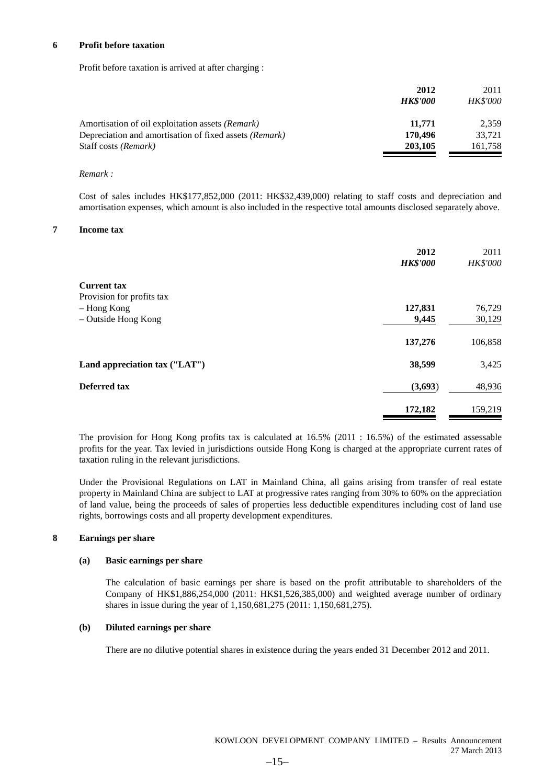#### **6 Profit before taxation**

Profit before taxation is arrived at after charging :

|                                                         | 2012            | 2011            |
|---------------------------------------------------------|-----------------|-----------------|
|                                                         | <b>HK\$'000</b> | <b>HK\$'000</b> |
| Amortisation of oil exploitation assets <i>(Remark)</i> | 11,771          | 2.359           |
| Depreciation and amortisation of fixed assets (Remark)  | 170,496         | 33.721          |
| Staff costs (Remark)                                    | 203,105         | 161,758         |

#### *Remark :*

Cost of sales includes HK\$177,852,000 (2011: HK\$32,439,000) relating to staff costs and depreciation and amortisation expenses, which amount is also included in the respective total amounts disclosed separately above.

#### **7 Income tax**

|                               | 2012<br><b>HK\$'000</b> | 2011<br><b>HK\$'000</b> |
|-------------------------------|-------------------------|-------------------------|
| <b>Current tax</b>            |                         |                         |
| Provision for profits tax     |                         |                         |
| – Hong Kong                   | 127,831                 | 76,729                  |
| - Outside Hong Kong           | 9,445                   | 30,129                  |
|                               | 137,276                 | 106,858                 |
| Land appreciation tax ("LAT") | 38,599                  | 3,425                   |
| Deferred tax                  | (3,693)                 | 48,936                  |
|                               | 172,182                 | 159,219                 |

The provision for Hong Kong profits tax is calculated at 16.5% (2011 : 16.5%) of the estimated assessable profits for the year. Tax levied in jurisdictions outside Hong Kong is charged at the appropriate current rates of taxation ruling in the relevant jurisdictions.

Under the Provisional Regulations on LAT in Mainland China, all gains arising from transfer of real estate property in Mainland China are subject to LAT at progressive rates ranging from 30% to 60% on the appreciation of land value, being the proceeds of sales of properties less deductible expenditures including cost of land use rights, borrowings costs and all property development expenditures.

#### **8 Earnings per share**

#### **(a) Basic earnings per share**

The calculation of basic earnings per share is based on the profit attributable to shareholders of the Company of HK\$1,886,254,000 (2011: HK\$1,526,385,000) and weighted average number of ordinary shares in issue during the year of 1,150,681,275 (2011: 1,150,681,275).

#### **(b) Diluted earnings per share**

There are no dilutive potential shares in existence during the years ended 31 December 2012 and 2011.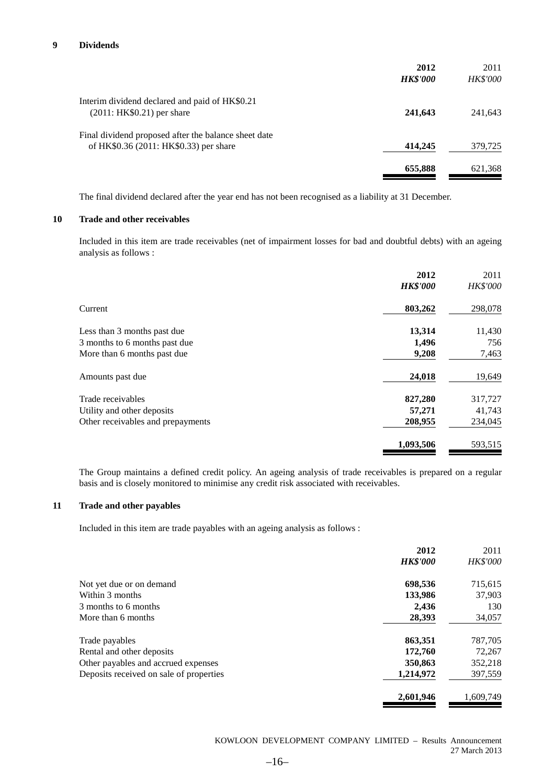|                                                                                                | 2012<br><b>HK\$'000</b> | 2011<br>HK\$'000 |
|------------------------------------------------------------------------------------------------|-------------------------|------------------|
| Interim dividend declared and paid of HK\$0.21<br>$(2011:HK$0.21)$ per share                   | 241,643                 | 241,643          |
| Final dividend proposed after the balance sheet date<br>of HK\$0.36 (2011: HK\$0.33) per share | 414,245                 | 379,725          |
|                                                                                                | 655,888                 | 621,368          |

The final dividend declared after the year end has not been recognised as a liability at 31 December.

#### **10 Trade and other receivables**

Included in this item are trade receivables (net of impairment losses for bad and doubtful debts) with an ageing analysis as follows :

| 2012            | 2011     |
|-----------------|----------|
| <b>HK\$'000</b> | HK\$'000 |
| 803,262         | 298,078  |
| 13,314          | 11,430   |
| 1,496           | 756      |
| 9,208           | 7,463    |
| 24,018          | 19,649   |
| 827,280         | 317,727  |
| 57,271          | 41,743   |
| 208,955         | 234,045  |
| 1,093,506       | 593,515  |
|                 |          |

The Group maintains a defined credit policy. An ageing analysis of trade receivables is prepared on a regular basis and is closely monitored to minimise any credit risk associated with receivables.

### **11 Trade and other payables**

Included in this item are trade payables with an ageing analysis as follows :

|                                         | 2012            | 2011            |
|-----------------------------------------|-----------------|-----------------|
|                                         | <b>HK\$'000</b> | <b>HK\$'000</b> |
| Not yet due or on demand                | 698,536         | 715,615         |
| Within 3 months                         | 133,986         | 37,903          |
| 3 months to 6 months                    | 2.436           | 130             |
| More than 6 months                      | 28,393          | 34,057          |
| Trade payables                          | 863,351         | 787,705         |
| Rental and other deposits               | 172,760         | 72,267          |
| Other payables and accrued expenses     | 350,863         | 352,218         |
| Deposits received on sale of properties | 1,214,972       | 397,559         |
|                                         | 2,601,946       | 1,609,749       |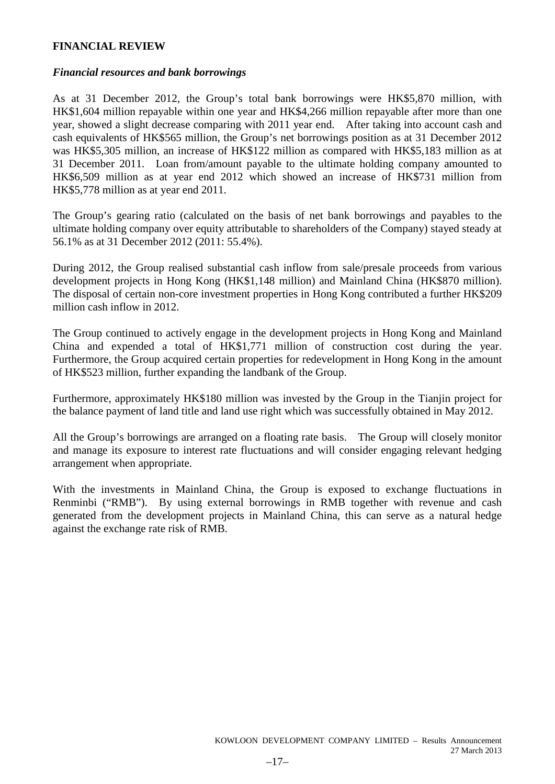### **FINANCIAL REVIEW**

### *Financial resources and bank borrowings*

As at 31 December 2012, the Group's total bank borrowings were HK\$5,870 million, with HK\$1,604 million repayable within one year and HK\$4,266 million repayable after more than one year, showed a slight decrease comparing with 2011 year end. After taking into account cash and cash equivalents of HK\$565 million, the Group's net borrowings position as at 31 December 2012 was HK\$5,305 million, an increase of HK\$122 million as compared with HK\$5,183 million as at 31 December 2011. Loan from/amount payable to the ultimate holding company amounted to HK\$6,509 million as at year end 2012 which showed an increase of HK\$731 million from HK\$5,778 million as at year end 2011.

The Group's gearing ratio (calculated on the basis of net bank borrowings and payables to the ultimate holding company over equity attributable to shareholders of the Company) stayed steady at 56.1% as at 31 December 2012 (2011: 55.4%).

During 2012, the Group realised substantial cash inflow from sale/presale proceeds from various development projects in Hong Kong (HK\$1,148 million) and Mainland China (HK\$870 million). The disposal of certain non-core investment properties in Hong Kong contributed a further HK\$209 million cash inflow in 2012.

The Group continued to actively engage in the development projects in Hong Kong and Mainland China and expended a total of HK\$1,771 million of construction cost during the year. Furthermore, the Group acquired certain properties for redevelopment in Hong Kong in the amount of HK\$523 million, further expanding the landbank of the Group.

Furthermore, approximately HK\$180 million was invested by the Group in the Tianjin project for the balance payment of land title and land use right which was successfully obtained in May 2012.

All the Group's borrowings are arranged on a floating rate basis. The Group will closely monitor and manage its exposure to interest rate fluctuations and will consider engaging relevant hedging arrangement when appropriate.

With the investments in Mainland China, the Group is exposed to exchange fluctuations in Renminbi ("RMB"). By using external borrowings in RMB together with revenue and cash generated from the development projects in Mainland China, this can serve as a natural hedge against the exchange rate risk of RMB.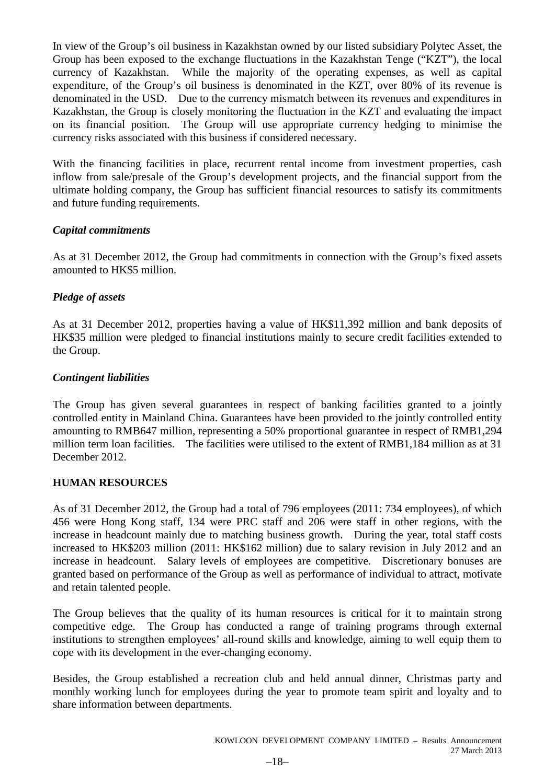In view of the Group's oil business in Kazakhstan owned by our listed subsidiary Polytec Asset, the Group has been exposed to the exchange fluctuations in the Kazakhstan Tenge ("KZT"), the local currency of Kazakhstan. While the majority of the operating expenses, as well as capital expenditure, of the Group's oil business is denominated in the KZT, over 80% of its revenue is denominated in the USD. Due to the currency mismatch between its revenues and expenditures in Kazakhstan, the Group is closely monitoring the fluctuation in the KZT and evaluating the impact on its financial position. The Group will use appropriate currency hedging to minimise the currency risks associated with this business if considered necessary.

With the financing facilities in place, recurrent rental income from investment properties, cash inflow from sale/presale of the Group's development projects, and the financial support from the ultimate holding company, the Group has sufficient financial resources to satisfy its commitments and future funding requirements.

# *Capital commitments*

As at 31 December 2012, the Group had commitments in connection with the Group's fixed assets amounted to HK\$5 million.

# *Pledge of assets*

As at 31 December 2012, properties having a value of HK\$11,392 million and bank deposits of HK\$35 million were pledged to financial institutions mainly to secure credit facilities extended to the Group.

# *Contingent liabilities*

The Group has given several guarantees in respect of banking facilities granted to a jointly controlled entity in Mainland China. Guarantees have been provided to the jointly controlled entity amounting to RMB647 million, representing a 50% proportional guarantee in respect of RMB1,294 million term loan facilities. The facilities were utilised to the extent of RMB1,184 million as at 31 December 2012.

# **HUMAN RESOURCES**

As of 31 December 2012, the Group had a total of 796 employees (2011: 734 employees), of which 456 were Hong Kong staff, 134 were PRC staff and 206 were staff in other regions, with the increase in headcount mainly due to matching business growth. During the year, total staff costs increased to HK\$203 million (2011: HK\$162 million) due to salary revision in July 2012 and an increase in headcount. Salary levels of employees are competitive. Discretionary bonuses are granted based on performance of the Group as well as performance of individual to attract, motivate and retain talented people.

The Group believes that the quality of its human resources is critical for it to maintain strong competitive edge. The Group has conducted a range of training programs through external institutions to strengthen employees' all-round skills and knowledge, aiming to well equip them to cope with its development in the ever-changing economy.

Besides, the Group established a recreation club and held annual dinner, Christmas party and monthly working lunch for employees during the year to promote team spirit and loyalty and to share information between departments.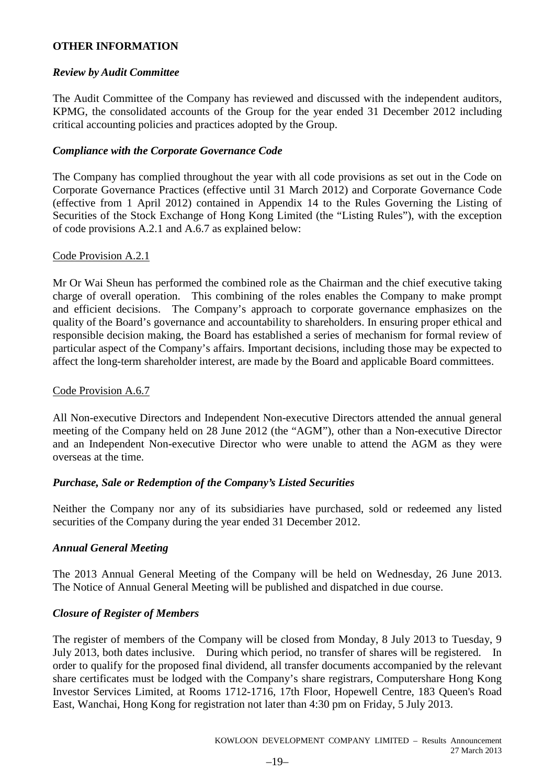# **OTHER INFORMATION**

# *Review by Audit Committee*

The Audit Committee of the Company has reviewed and discussed with the independent auditors, KPMG, the consolidated accounts of the Group for the year ended 31 December 2012 including critical accounting policies and practices adopted by the Group.

# *Compliance with the Corporate Governance Code*

The Company has complied throughout the year with all code provisions as set out in the Code on Corporate Governance Practices (effective until 31 March 2012) and Corporate Governance Code (effective from 1 April 2012) contained in Appendix 14 to the Rules Governing the Listing of Securities of the Stock Exchange of Hong Kong Limited (the "Listing Rules"), with the exception of code provisions A.2.1 and A.6.7 as explained below:

# Code Provision A.2.1

Mr Or Wai Sheun has performed the combined role as the Chairman and the chief executive taking charge of overall operation. This combining of the roles enables the Company to make prompt and efficient decisions. The Company's approach to corporate governance emphasizes on the quality of the Board's governance and accountability to shareholders. In ensuring proper ethical and responsible decision making, the Board has established a series of mechanism for formal review of particular aspect of the Company's affairs. Important decisions, including those may be expected to affect the long-term shareholder interest, are made by the Board and applicable Board committees.

# Code Provision A.6.7

All Non-executive Directors and Independent Non-executive Directors attended the annual general meeting of the Company held on 28 June 2012 (the "AGM"), other than a Non-executive Director and an Independent Non-executive Director who were unable to attend the AGM as they were overseas at the time.

# *Purchase, Sale or Redemption of the Company's Listed Securities*

Neither the Company nor any of its subsidiaries have purchased, sold or redeemed any listed securities of the Company during the year ended 31 December 2012.

# *Annual General Meeting*

The 2013 Annual General Meeting of the Company will be held on Wednesday, 26 June 2013. The Notice of Annual General Meeting will be published and dispatched in due course.

# *Closure of Register of Members*

The register of members of the Company will be closed from Monday, 8 July 2013 to Tuesday, 9 July 2013, both dates inclusive. During which period, no transfer of shares will be registered. In order to qualify for the proposed final dividend, all transfer documents accompanied by the relevant share certificates must be lodged with the Company's share registrars, Computershare Hong Kong Investor Services Limited, at Rooms 1712-1716, 17th Floor, Hopewell Centre, 183 Queen's Road East, Wanchai, Hong Kong for registration not later than 4:30 pm on Friday, 5 July 2013.